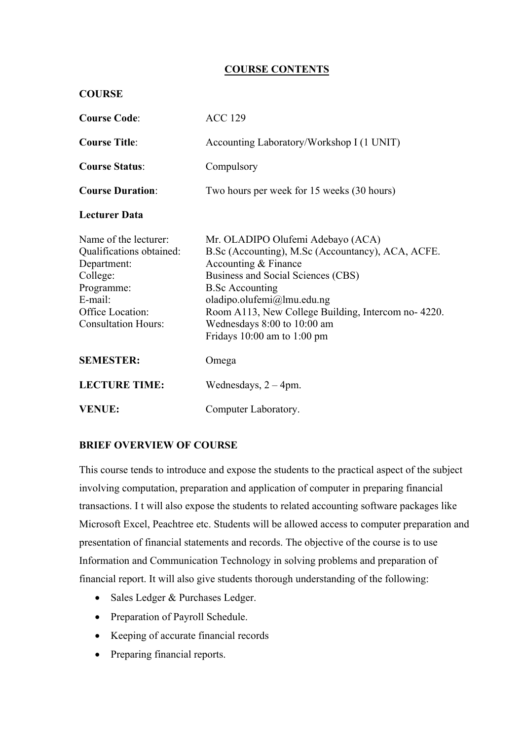## **COURSE CONTENTS**

| <b>COURSE</b>                                                                                                                                           |                                                                                                                                                                                                                                                                                                                                      |
|---------------------------------------------------------------------------------------------------------------------------------------------------------|--------------------------------------------------------------------------------------------------------------------------------------------------------------------------------------------------------------------------------------------------------------------------------------------------------------------------------------|
| <b>Course Code:</b>                                                                                                                                     | <b>ACC 129</b>                                                                                                                                                                                                                                                                                                                       |
| <b>Course Title:</b>                                                                                                                                    | Accounting Laboratory/Workshop I (1 UNIT)                                                                                                                                                                                                                                                                                            |
| <b>Course Status:</b>                                                                                                                                   | Compulsory                                                                                                                                                                                                                                                                                                                           |
| <b>Course Duration:</b>                                                                                                                                 | Two hours per week for 15 weeks (30 hours)                                                                                                                                                                                                                                                                                           |
| <b>Lecturer Data</b>                                                                                                                                    |                                                                                                                                                                                                                                                                                                                                      |
| Name of the lecturer:<br>Qualifications obtained:<br>Department:<br>College:<br>Programme:<br>E-mail:<br>Office Location:<br><b>Consultation Hours:</b> | Mr. OLADIPO Olufemi Adebayo (ACA)<br>B.Sc (Accounting), M.Sc (Accountancy), ACA, ACFE.<br>Accounting & Finance<br>Business and Social Sciences (CBS)<br><b>B.Sc Accounting</b><br>oladipo.olufemi@lmu.edu.ng<br>Room A113, New College Building, Intercom no-4220.<br>Wednesdays 8:00 to 10:00 am<br>Fridays $10:00$ am to $1:00$ pm |
| <b>SEMESTER:</b>                                                                                                                                        | Omega                                                                                                                                                                                                                                                                                                                                |
| <b>LECTURE TIME:</b>                                                                                                                                    | Wednesdays, $2 - 4$ pm.                                                                                                                                                                                                                                                                                                              |
| <b>VENUE:</b>                                                                                                                                           | Computer Laboratory.                                                                                                                                                                                                                                                                                                                 |

#### **BRIEF OVERVIEW OF COURSE**

This course tends to introduce and expose the students to the practical aspect of the subject involving computation, preparation and application of computer in preparing financial transactions. I t will also expose the students to related accounting software packages like Microsoft Excel, Peachtree etc. Students will be allowed access to computer preparation and presentation of financial statements and records. The objective of the course is to use Information and Communication Technology in solving problems and preparation of financial report. It will also give students thorough understanding of the following:

- Sales Ledger & Purchases Ledger.
- Preparation of Payroll Schedule.
- Keeping of accurate financial records
- Preparing financial reports.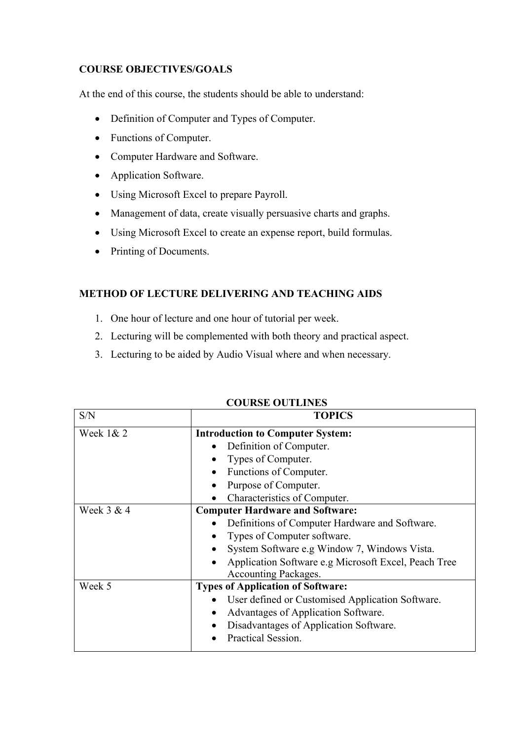# **COURSE OBJECTIVES/GOALS**

At the end of this course, the students should be able to understand:

- Definition of Computer and Types of Computer.
- Functions of Computer.
- Computer Hardware and Software.
- Application Software.
- Using Microsoft Excel to prepare Payroll.
- Management of data, create visually persuasive charts and graphs.
- Using Microsoft Excel to create an expense report, build formulas.
- Printing of Documents.

## **METHOD OF LECTURE DELIVERING AND TEACHING AIDS**

- 1. One hour of lecture and one hour of tutorial per week.
- 2. Lecturing will be complemented with both theory and practical aspect.
- 3. Lecturing to be aided by Audio Visual where and when necessary.

| S/N          | <b>TOPICS</b>                                                                                                                                                                                                                                                        |
|--------------|----------------------------------------------------------------------------------------------------------------------------------------------------------------------------------------------------------------------------------------------------------------------|
| Week $1& 2$  | <b>Introduction to Computer System:</b><br>Definition of Computer.<br>Types of Computer.<br>Functions of Computer.<br>Purpose of Computer.<br>Characteristics of Computer.                                                                                           |
| Week $3 & 4$ | <b>Computer Hardware and Software:</b><br>Definitions of Computer Hardware and Software.<br>Types of Computer software.<br>System Software e.g Window 7, Windows Vista.<br>Application Software e.g Microsoft Excel, Peach Tree<br>$\bullet$<br>Accounting Packages. |
| Week 5       | <b>Types of Application of Software:</b><br>User defined or Customised Application Software.<br>Advantages of Application Software.<br>Disadvantages of Application Software.<br>Practical Session.                                                                  |

#### **COURSE OUTLINES**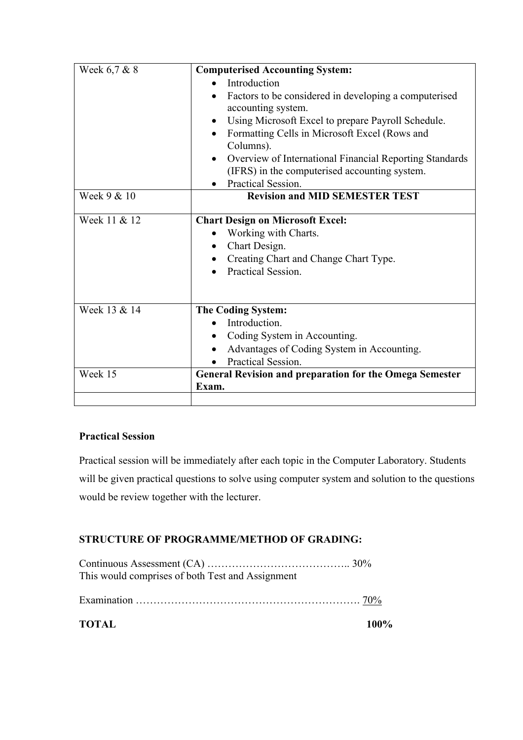| Week 6,7 & 8 | <b>Computerised Accounting System:</b>                          |
|--------------|-----------------------------------------------------------------|
|              | Introduction                                                    |
|              | Factors to be considered in developing a computerised           |
|              | accounting system.                                              |
|              | Using Microsoft Excel to prepare Payroll Schedule.<br>$\bullet$ |
|              | Formatting Cells in Microsoft Excel (Rows and                   |
|              | Columns).                                                       |
|              | Overview of International Financial Reporting Standards         |
|              | (IFRS) in the computerised accounting system.                   |
|              | Practical Session.                                              |
| Week 9 & 10  | <b>Revision and MID SEMESTER TEST</b>                           |
|              |                                                                 |
| Week 11 & 12 | <b>Chart Design on Microsoft Excel:</b>                         |
|              | Working with Charts.<br>$\bullet$                               |
|              | Chart Design.<br>$\bullet$                                      |
|              | Creating Chart and Change Chart Type.                           |
|              | Practical Session.                                              |
|              |                                                                 |
|              |                                                                 |
| Week 13 & 14 | <b>The Coding System:</b>                                       |
|              | Introduction.                                                   |
|              | Coding System in Accounting.                                    |
|              | Advantages of Coding System in Accounting.                      |
|              | Practical Session.                                              |
| Week 15      | <b>General Revision and preparation for the Omega Semester</b>  |
|              | Exam.                                                           |
|              |                                                                 |

# **Practical Session**

Practical session will be immediately after each topic in the Computer Laboratory. Students will be given practical questions to solve using computer system and solution to the questions would be review together with the lecturer.

# **STRUCTURE OF PROGRAMME/METHOD OF GRADING:**

Continuous Assessment (CA) ………………………………….. 30% This would comprises of both Test and Assignment

Examination ………………………………………………………. 70%

**TOTAL 100%**